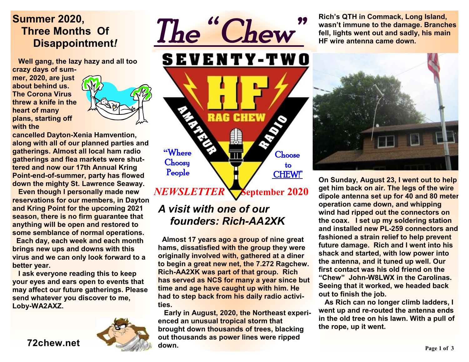## **Summer 2020, Three Months Of Disappointment***!*

 **Well gang, the lazy hazy and all too crazy days of sum-**

**mer, 2020, are just about behind us. The Corona Virus threw a knife in the heart of many plans, starting off with the** 



**cancelled Dayton-Xenia Hamvention, along with all of our planned parties and gatherings. Almost all local ham radio gatherings and flea markets were shuttered and now our 17th Annual Kring Point-end-of-summer, party has flowed down the mighty St. Lawrence Seaway.** 

 **Even though I personally made new reservations for our members, in Dayton and Kring Point for the upcoming 2021 season, there is no firm guarantee that anything will be open and restored to some semblance of normal operations.** 

 **Each day, each week and each month brings new ups and downs with this virus and we can only look forward to a better year.** 

 **I ask everyone reading this to keep your eyes and ears open to events that may affect our future gatherings. Please send whatever you discover to me, Loby-WA2AXZ.** 



**72chew.net**



**Rich's QTH in Commack, Long Island, wasn't immune to the damage. Branches fell, lights went out and sadly, his main HF wire antenna came down.** 



**On Sunday, August 23, I went out to help get him back on air. The legs of the wire dipole antenna set up for 40 and 80 meter operation came down, and whipping wind had ripped out the connectors on the coax. I set up my soldering station and installed new PL-259 connectors and fashioned a strain relief to help prevent future damage. Rich and I went into his shack and started, with low power into the antenna, and it tuned up well. Our first contact was his old friend on the "Chew" John-W8LWX in the Carolinas. Seeing that it worked, we headed back out to finish the job.** 

 **As Rich can no longer climb ladders, I went up and re-routed the antenna ends in the old tree on his lawn. With a pull of the rope, up it went.** 

 **September 2020** *NEWSLETTER* 

**Choose**  to CHEW!"

*The " Chew"* 

**CHEW** 

### *A visit with one of our founders: Rich-AA2XK*

RAG

**"**Where **Choosy** People

**Almost 17 years ago a group of nine great hams, dissatisfied with the group they were originally involved with, gathered at a diner to begin a great new net, the 7.272 Ragchew. Rich-AA2XK was part of that group. Rich has served as NCS for many a year since but time and age have caught up with him. He had to step back from his daily radio activities.** 

 **Early in August, 2020, the Northeast experienced an unusual tropical storm that brought down thousands of trees, blacking out thousands as power lines were ripped down.**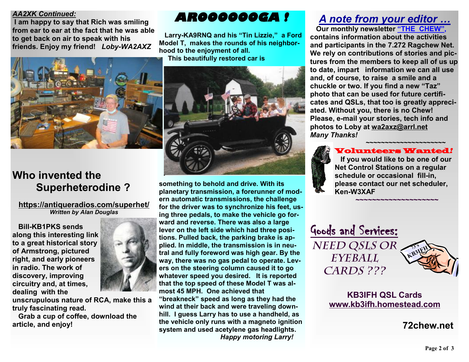#### *AA2XK Continued:*

 **I am happy to say that Rich was smiling from ear to ear at the fact that he was able to get back on air to speak with his friends. Enjoy my friend!** *Loby-WA2AXZ*



## **Who invented the Superheterodine ?**

**<https://antiqueradios.com/superhet/>** *Written by Alan Douglas* 

 **Bill-KB1PKS sends along this interesting link to a great historical story of Armstrong, pictured right, and early pioneers in radio. The work of discovery, improving circuitry and, at times, dealing with the** 



 **Grab a cup of coffee, download the article, and enjoy!** 

## *AROOOOOOGA !*

 **Larry-KA9RNQ and his "Tin Lizzie," a Ford Model T, makes the rounds of his neighborhood to the enjoyment of all. This beautifully restored car is** 



**something to behold and drive. With its planetary transmission, a forerunner of modern automatic transmissions, the challenge for the driver was to synchronize his feet, using three pedals, to make the vehicle go forward and reverse. There was also a large lever on the left side which had three positions. Pulled back, the parking brake is applied. In middle, the transmission is in neutral and fully foreword was high gear. By the way, there was no gas pedal to operate. Levers on the steering column caused it to go whatever speed you desired. It is reported that the top speed of these Model T was almost 45 MPH. One achieved that "breakneck" speed as long as they had the wind at their back and were traveling down-**

**hill. I guess Larry has to use a handheld, as the vehicle only runs with a magneto ignition system and used acetylene gas headlights.** *Happy motoring Larry!*

## *A note from your editor …*

 **Our monthly newsletter "THE CHEW", contains information about the activities and participants in the 7.272 Ragchew Net. We rely on contributions of stories and pictures from the members to keep all of us up to date, impart information we can all use and, of course, to raise a smile and a chuckle or two. If you find a new "Taz" photo that can be used for future certificates and QSLs, that too is greatly appreciated. Without you, there is no Chew! Please, e-mail your stories, tech info and photos to Loby at [wa2axz@arrl.net](mailto:wa2axz@arrl.net)**  *Many Thanks!* 

#### *~~~~~~~~~~~~~~~~~~~~~*  Volunteers Wanted*!*   **If you would like to be one of our Net Control Stations on a regular schedule or occasional fill-in, please contact our net scheduler, Ken-W3XAF**

**~~~~~~~~~~~~~~~~~~~~**

Goods and Services: *Need QSLs or Eyeball Cards ???* 



#### **KB3IFH QSL Cards [www.kb3ifh.homestead.com](http://www.kb3ifh.homestead.com)**

 **72chew.net**